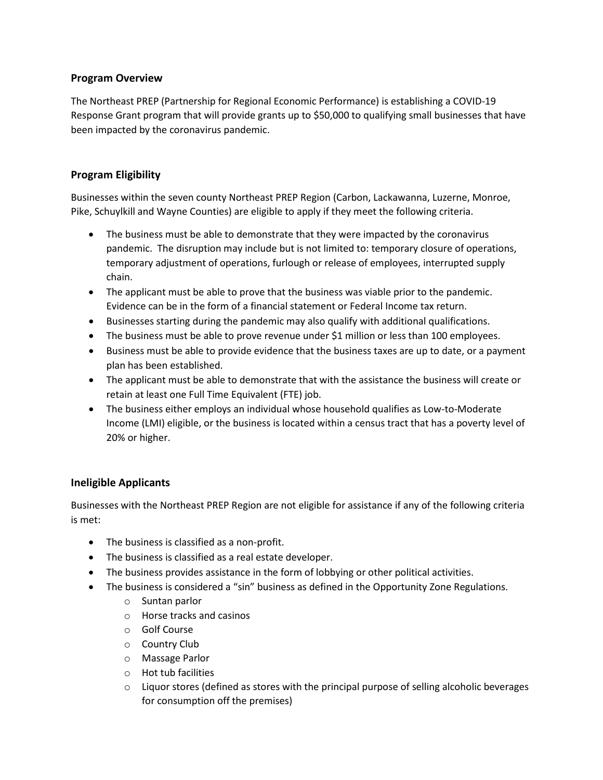## **Program Overview**

The Northeast PREP (Partnership for Regional Economic Performance) is establishing a COVID-19 Response Grant program that will provide grants up to \$50,000 to qualifying small businesses that have been impacted by the coronavirus pandemic.

## **Program Eligibility**

Businesses within the seven county Northeast PREP Region (Carbon, Lackawanna, Luzerne, Monroe, Pike, Schuylkill and Wayne Counties) are eligible to apply if they meet the following criteria.

- The business must be able to demonstrate that they were impacted by the coronavirus pandemic. The disruption may include but is not limited to: temporary closure of operations, temporary adjustment of operations, furlough or release of employees, interrupted supply chain.
- The applicant must be able to prove that the business was viable prior to the pandemic. Evidence can be in the form of a financial statement or Federal Income tax return.
- Businesses starting during the pandemic may also qualify with additional qualifications.
- The business must be able to prove revenue under \$1 million or less than 100 employees.
- Business must be able to provide evidence that the business taxes are up to date, or a payment plan has been established.
- The applicant must be able to demonstrate that with the assistance the business will create or retain at least one Full Time Equivalent (FTE) job.
- The business either employs an individual whose household qualifies as Low-to-Moderate Income (LMI) eligible, or the business is located within a census tract that has a poverty level of 20% or higher.

## **Ineligible Applicants**

Businesses with the Northeast PREP Region are not eligible for assistance if any of the following criteria is met:

- The business is classified as a non-profit.
- The business is classified as a real estate developer.
- The business provides assistance in the form of lobbying or other political activities.
- The business is considered a "sin" business as defined in the Opportunity Zone Regulations.
	- o Suntan parlor
	- o Horse tracks and casinos
	- o Golf Course
	- o Country Club
	- o Massage Parlor
	- o Hot tub facilities
	- $\circ$  Liquor stores (defined as stores with the principal purpose of selling alcoholic beverages for consumption off the premises)